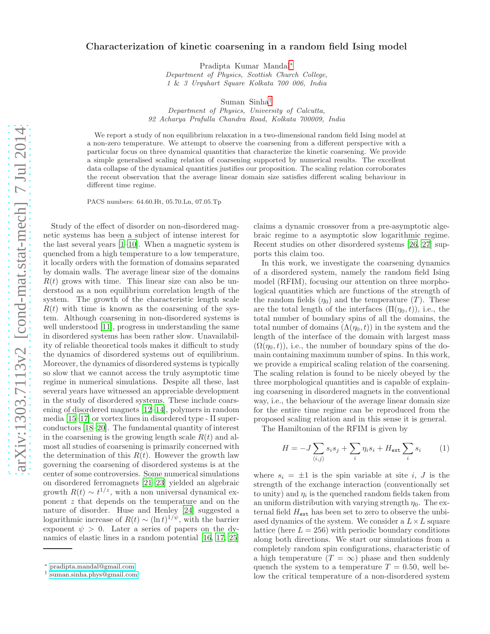## Characterization of kinetic coarsening in a random field Ising model

Pradipta Kumar Mandal[∗](#page-0-0)

Department of Physics, Scottish Church College, 1 & 3 Urquhart Square Kolkata 700 006, India

Suman Sinha[†](#page-0-1)

Department of Physics, University of Calcutta, 92 Acharya Prafulla Chandra Road, Kolkata 700009, India

We report a study of non equilibrium relaxation in a two-dimensional random field Ising model at a non-zero temperature. We attempt to observe the coarsening from a different perspective with a particular focus on three dynamical quantities that characterize the kinetic coarsening. We provide a simple generalised scaling relation of coarsening supported by numerical results. The excellent data collapse of the dynamical quantities justifies our proposition. The scaling relation corroborates the recent observation that the average linear domain size satisfies different scaling behaviour in different time regime.

PACS numbers: 64.60.Ht, 05.70.Ln, 07.05.Tp

Study of the effect of disorder on non-disordered magnetic systems has been a subject of intense interest for the last several years [\[1](#page-4-0)[–10](#page-4-1)]. When a magnetic system is quenched from a high temperature to a low temperature, it locally orders with the formation of domains separated by domain walls. The average linear size of the domains  $R(t)$  grows with time. This linear size can also be understood as a non equilibrium correlation length of the system. The growth of the characteristic length scale  $R(t)$  with time is known as the coarsening of the system. Although coarsening in non-disordered systems is well understood [\[11\]](#page-4-2), progress in understanding the same in disordered systems has been rather slow. Unavailability of reliable theoretical tools makes it difficult to study the dynamics of disordered systems out of equilibrium. Moreover, the dynamics of disordered systems is typically so slow that we cannot access the truly asymptotic time regime in numerical simulations. Despite all these, last several years have witnessed an appreciable development in the study of disordered systems. These include coarsening of disordered magnets [\[12](#page-4-3)[–14\]](#page-4-4), polymers in random media [\[15](#page-4-5)[–17\]](#page-4-6) or vortex lines in disordered type - II superconductors [\[18](#page-4-7)[–20](#page-4-8)]. The fundamental quantity of interest in the coarsening is the growing length scale  $R(t)$  and almost all studies of coarsening is primarily concerned with the determination of this  $R(t)$ . However the growth law governing the coarsening of disordered systems is at the center of some controversies. Some numerical simulations on disordered ferromagnets [\[21](#page-4-9)[–23\]](#page-4-10) yielded an algebraic growth  $R(t) \sim t^{1/z}$ , with a non universal dynamical exponent z that depends on the temperature and on the nature of disorder. Huse and Henley [\[24](#page-4-11)] suggested a logarithmic increase of  $R(t) \sim (\ln t)^{1/\psi}$ , with the barrier exponent  $\psi > 0$ . Later a series of papers on the dynamics of elastic lines in a random potential [\[16,](#page-4-12) [17](#page-4-6), [25](#page-4-13)]

claims a dynamic crossover from a pre-asymptotic algebraic regime to a asymptotic slow logarithmic regime. Recent studies on other disordered systems [\[26,](#page-4-14) [27\]](#page-4-15) supports this claim too.

In this work, we investigate the coarsening dynamics of a disordered system, namely the random field Ising model (RFIM), focusing our attention on three morphological quantities which are functions of the strength of the random fields  $(\eta_0)$  and the temperature  $(T)$ . These are the total length of the interfaces  $(\Pi(\eta_0, t))$ , i.e., the total number of boundary spins of all the domains, the total number of domains  $(\Lambda(\eta_0,t))$  in the system and the length of the interface of the domain with largest mass  $(\Omega(\eta_0,t))$ , i.e., the number of boundary spins of the domain containing maximum number of spins. In this work, we provide a empirical scaling relation of the coarsening. The scaling relation is found to be nicely obeyed by the three morphological quantities and is capable of explaining coarsening in disordered magnets in the conventional way, i.e., the behaviour of the average linear domain size for the entire time regime can be reproduced from the proposed scaling relation and in this sense it is general.

The Hamiltonian of the RFIM is given by

<span id="page-0-2"></span>
$$
H = -J\sum_{\langle i,j\rangle} s_i s_j + \sum_i \eta_i s_i + H_{\text{ext}} \sum_i s_i \qquad (1)
$$

where  $s_i = \pm 1$  is the spin variable at site i, J is the strength of the exchange interaction (conventionally set to unity) and  $\eta_i$  is the quenched random fields taken from an uniform distribution with varying strength  $\eta_0$ . The external field  $H_{\text{ext}}$  has been set to zero to observe the unbiased dynamics of the system. We consider a  $L \times L$  square lattice (here  $L = 256$ ) with periodic boundary conditions along both directions. We start our simulations from a completely random spin configurations, characteristic of a high temperature  $(T = \infty)$  phase and then suddenly quench the system to a temperature  $T = 0.50$ , well below the critical temperature of a non-disordered system

<span id="page-0-0"></span><sup>∗</sup> [pradipta.mandal@gmail.com](mailto:pradipta.mandal@gmail.com)

<span id="page-0-1"></span><sup>†</sup> [suman.sinha.phys@gmail.com](mailto:suman.sinha.phys@gmail.com)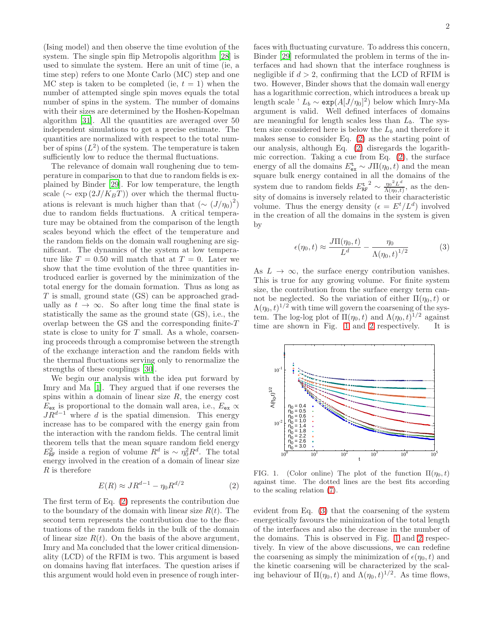(Ising model) and then observe the time evolution of the system. The single spin flip Metropolis algorithm [\[28](#page-4-16)] is used to simulate the system. Here an unit of time (ie, a time step) refers to one Monte Carlo (MC) step and one MC step is taken to be completed (ie,  $t = 1$ ) when the number of attempted single spin moves equals the total number of spins in the system. The number of domains with their sizes are determined by the Hoshen-Kopelman algorithm [\[31\]](#page-4-17). All the quantities are averaged over 50 independent simulations to get a precise estimate. The quantities are normalized with respect to the total number of spins  $(L^2)$  of the system. The temperature is taken sufficiently low to reduce the thermal fluctuations.

The relevance of domain wall roughening due to temperature in comparison to that due to random fields is explained by Binder [\[29\]](#page-4-18). For low temperature, the length scale ( $\sim \exp(2J/K_BT)$ ) over which the thermal fluctuations is relevant is much higher than that  $({\sim (J/\eta_0)^2})$ due to random fields fluctuations. A critical temperature may be obtained from the comparison of the length scales beyond which the effect of the temperature and the random fields on the domain wall roughening are significant. The dynamics of the system at low temperature like  $T = 0.50$  will match that at  $T = 0$ . Later we show that the time evolution of the three quantities introduced earlier is governed by the minimization of the total energy for the domain formation. Thus as long as  $T$  is small, ground state  $(GS)$  can be approached gradually as  $t \to \infty$ . So after long time the final state is statistically the same as the ground state (GS), i.e., the overlap between the GS and the corresponding finite-T state is close to unity for  $T$  small. As a whole, coarsening proceeds through a compromise between the strength of the exchange interaction and the random fields with the thermal fluctuations serving only to renormalize the strengths of these couplings [\[30\]](#page-4-19).

We begin our analysis with the idea put forward by Imry and Ma [\[1\]](#page-4-0). They argued that if one reverses the spins within a domain of linear size  $R$ , the energy cost  $E_{\text{ex}}$  is proportional to the domain wall area, i.e.,  $E_{\text{ex}} \propto$  $JR^{d-1}$  where d is the spatial dimension. This energy increase has to be compared with the energy gain from the interaction with the random fields. The central limit theorem tells that the mean square random field energy  $E_{\text{RF}}^2$  inside a region of volume  $R^d$  is ~  $\eta_0^2 R^d$ . The total energy involved in the creation of a domain of linear size R is therefore

<span id="page-1-0"></span>
$$
E(R) \approx J R^{d-1} - \eta_0 R^{d/2} \tag{2}
$$

The first term of Eq. [\(2\)](#page-1-0) represents the contribution due to the boundary of the domain with linear size  $R(t)$ . The second term represents the contribution due to the fluctuations of the random fields in the bulk of the domain of linear size  $R(t)$ . On the basis of the above argument, Imry and Ma concluded that the lower critical dimensionality (LCD) of the RFIM is two. This argument is based on domains having flat interfaces. The question arises if this argument would hold even in presence of rough inter-

faces with fluctuating curvature. To address this concern, Binder [\[29](#page-4-18)] reformulated the problem in terms of the interfaces and had shown that the interface roughness is negligible if  $d > 2$ , confirming that the LCD of RFIM is two. However, Binder shows that the domain wall energy has a logarithmic correction, which introduces a break up length scale '  $L_b \sim \exp(A[J/\eta_0]^2)$  below which Imry-Ma argument is valid. Well defined interfaces of domains are meaningful for length scales less than  $L_b$ . The system size considered here is below the  $L_b$  and therefore it makes sense to consider Eq. [\(2\)](#page-1-0) as the starting point of our analysis, although Eq. [\(2\)](#page-1-0) disregards the logarithmic correction. Taking a cue from Eq. [\(2\)](#page-1-0), the surface energy of all the domains  $E_{ex}^{\mathbf{t}} \sim J\Pi(n_0, t)$  and the mean square bulk energy contained in all the domains of the system due to random fields  $E_{\text{RF}}^{\text{t-2}} \sim \frac{\eta_0^2 L^d}{\Lambda(\eta_0 t)}$  $\frac{\eta_0 L}{\Lambda(\eta_0,t)}$ , as the density of domains is inversely related to their characteristic volume. Thus the energy density  $(\epsilon = E^t/L^d)$  involved in the creation of all the domains in the system is given by

<span id="page-1-2"></span>
$$
\epsilon(\eta_0, t) \approx \frac{J\Pi(\eta_0, t)}{L^d} - \frac{\eta_0}{\Lambda(\eta_0, t)^{1/2}}\tag{3}
$$

As  $L \to \infty$ , the surface energy contribution vanishes. This is true for any growing volume. For finite system size, the contribution from the surface energy term cannot be neglected. So the variation of either  $\Pi(\eta_0, t)$  or  $\Lambda(\eta_0,t)^{1/2}$  with time will govern the coarsening of the system. The log-log plot of  $\Pi(\eta_0, t)$  and  $\Lambda(\eta_0, t)^{1/2}$  against time are shown in Fig. [1](#page-1-1) and [2](#page-2-0) respectively. It is



<span id="page-1-1"></span>FIG. 1. (Color online) The plot of the function  $\Pi(\eta_0, t)$ against time. The dotted lines are the best fits according to the scaling relation [\(7\)](#page-2-1).

evident from Eq. [\(3\)](#page-1-2) that the coarsening of the system energetically favours the minimization of the total length of the interfaces and also the decrease in the number of the domains. This is observed in Fig. [1](#page-1-1) and [2](#page-2-0) respectively. In view of the above discussions, we can redefine the coarsening as simply the minimization of  $\epsilon(\eta_0, t)$  and the kinetic coarsening will be characterized by the scaling behaviour of  $\Pi(\eta_0, t)$  and  $\Lambda(\eta_0, t)^{1/2}$ . As time flows,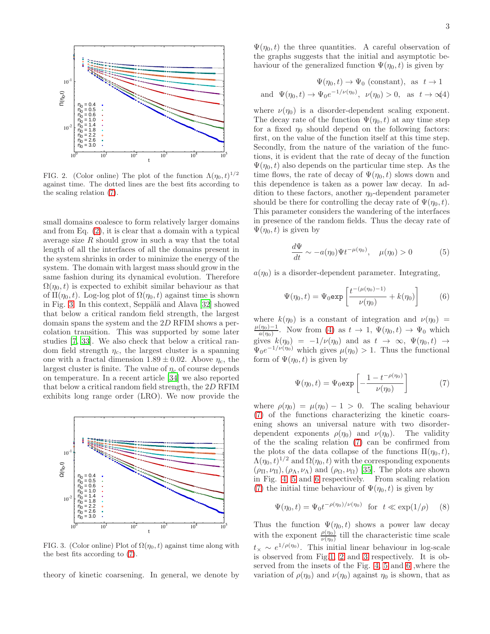

<span id="page-2-0"></span>FIG. 2. (Color online) The plot of the function  $\Lambda(\eta_0, t)^{1/2}$ against time. The dotted lines are the best fits according to the scaling relation [\(7\)](#page-2-1).

small domains coalesce to form relatively larger domains and from Eq. [\(2\)](#page-1-0), it is clear that a domain with a typical average size  $R$  should grow in such a way that the total length of all the interfaces of all the domains present in the system shrinks in order to minimize the energy of the system. The domain with largest mass should grow in the same fashion during its dynamical evolution. Therefore  $\Omega(\eta_0, t)$  is expected to exhibit similar behaviour as that of  $\Pi(\eta_0, t)$ . Log-log plot of  $\Omega(\eta_0, t)$  against time is shown in Fig. [3.](#page-2-2) In this context, Seppälä and Alava  $[32]$  showed that below a critical random field strength, the largest domain spans the system and the 2D RFIM shows a percolation transition. This was supported by some later studies [\[7,](#page-4-21) [33\]](#page-4-22). We also check that below a critical random field strength  $\eta_c$ , the largest cluster is a spanning one with a fractal dimension  $1.89 \pm 0.02$ . Above  $\eta_c$ , the largest cluster is finite. The value of  $\eta_c$  of course depends on temperature. In a recent article [\[34\]](#page-4-23) we also reported that below a critical random field strength, the 2D RFIM exhibits long range order (LRO). We now provide the



<span id="page-2-2"></span>FIG. 3. (Color online) Plot of  $\Omega(\eta_0, t)$  against time along with the best fits according to [\(7\)](#page-2-1).

theory of kinetic coarsening. In general, we denote by

 $\Psi(\eta_0, t)$  the three quantities. A careful observation of the graphs suggests that the initial and asymptotic behaviour of the generalized function  $\Psi(\eta_0, t)$  is given by

<span id="page-2-3"></span>
$$
\Psi(\eta_0, t) \to \Psi_0 \text{ (constant)}, \text{ as } t \to 1
$$
  
and 
$$
\Psi(\eta_0, t) \to \Psi_0 e^{-1/\nu(\eta_0)}, \nu(\eta_0) > 0, \text{ as } t \to \infty/4
$$

where  $\nu(\eta_0)$  is a disorder-dependent scaling exponent. The decay rate of the function  $\Psi(\eta_0, t)$  at any time step for a fixed  $\eta_0$  should depend on the following factors: first, on the value of the function itself at this time step. Secondly, from the nature of the variation of the functions, it is evident that the rate of decay of the function  $\Psi(\eta_0, t)$  also depends on the particular time step. As the time flows, the rate of decay of  $\Psi(\eta_0, t)$  slows down and this dependence is taken as a power law decay. In addition to these factors, another  $\eta_0$ -dependent parameter should be there for controlling the decay rate of  $\Psi(\eta_0, t)$ . This parameter considers the wandering of the interfaces in presence of the random fields. Thus the decay rate of  $\Psi(\eta_0, t)$  is given by

$$
\frac{d\Psi}{dt} \sim -a(\eta_0)\Psi t^{-\mu(\eta_0)}, \quad \mu(\eta_0) > 0 \tag{5}
$$

 $a(\eta_0)$  is a disorder-dependent parameter. Integrating,

$$
\Psi(\eta_0, t) = \Psi_0 \exp\left[\frac{t^{-(\mu(\eta_0) - 1)}}{\nu(\eta_0)} + k(\eta_0)\right]
$$
(6)

where  $k(\eta_0)$  is a constant of integration and  $\nu(\eta_0)$  =  $\mu(\eta_0)$ −1  $\frac{(\eta_0)-1}{a(\eta_0)}$ . Now from [\(4\)](#page-2-3) as  $t \to 1$ ,  $\Psi(\eta_0, t) \to \Psi_0$  which gives  $k(\eta_0) = -1/\nu(\eta_0)$  and as  $t \to \infty$ ,  $\Psi(\eta_0, t) \to$  $\Psi_0 e^{-1/\nu(\eta_0)}$  which gives  $\mu(\eta_0) > 1$ . Thus the functional form of  $\Psi(\eta_0, t)$  is given by

<span id="page-2-1"></span>
$$
\Psi(\eta_0, t) = \Psi_0 \exp\left[-\frac{1 - t^{-\rho(\eta_0)}}{\nu(\eta_0)}\right] \tag{7}
$$

where  $\rho(\eta_0) = \mu(\eta_0) - 1 > 0$ . The scaling behaviour [\(7\)](#page-2-1) of the functions characterizing the kinetic coarsening shows an universal nature with two disorderdependent exponents  $\rho(\eta_0)$  and  $\nu(\eta_0)$ . The validity of the the scaling relation [\(7\)](#page-2-1) can be confirmed from the plots of the data collapse of the functions  $\Pi(\eta_0, t)$ ,  $\Lambda(\eta_0,t)^{1/2}$  and  $\Omega(\eta_0,t)$  with the corresponding exponents  $(\rho_{\Pi}, \nu_{\Pi}), (\rho_{\Lambda}, \nu_{\Lambda})$  and  $(\rho_{\Omega}, \nu_{\Omega})$  [\[35\]](#page-4-24). The plots are shown in Fig. [4,](#page-3-0) [5](#page-3-1) and [6](#page-3-2) respectively. From scaling relation [\(7\)](#page-2-1) the initial time behaviour of  $\Psi(\eta_0, t)$  is given by

$$
\Psi(\eta_0, t) = \Psi_0 t^{-\rho(\eta_0)/\nu(\eta_0)}
$$
 for  $t \ll \exp(1/\rho)$  (8)

Thus the function  $\Psi(\eta_0, t)$  shows a power law decay with the exponent  $\frac{\rho(\eta_0)}{\nu(\eta_0)}$  till the characteristic time scale  $t_{\times} \sim e^{1/\rho(\eta_0)}$ . This initial linear behaviour in log-scale is observed from Fig[.1,](#page-1-1) [2](#page-2-0) and [3](#page-2-2) respectively. It is observed from the insets of the Fig. [4,](#page-3-0) [5](#page-3-1) and [6](#page-3-2) ,where the variation of  $\rho(\eta_0)$  and  $\nu(\eta_0)$  against  $\eta_0$  is shown, that as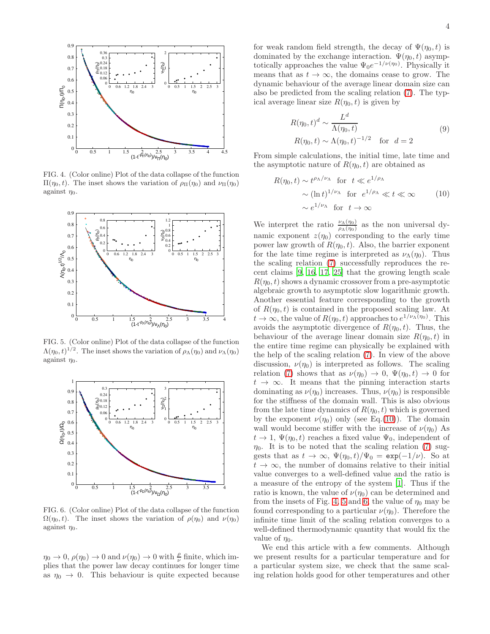

<span id="page-3-0"></span>FIG. 4. (Color online) Plot of the data collapse of the function  $\Pi(\eta_0, t)$ . The inset shows the variation of  $ρ_\Pi(\eta_0)$  and  $ν_\Pi(\eta_0)$ against  $\eta_0$ .



<span id="page-3-1"></span>FIG. 5. (Color online) Plot of the data collapse of the function  $\Lambda(\eta_0, t)^{1/2}$ . The inset shows the variation of  $\rho_{\Lambda}(\eta_0)$  and  $\nu_{\Lambda}(\eta_0)$ against  $\eta_0$ .



<span id="page-3-2"></span>FIG. 6. (Color online) Plot of the data collapse of the function  $\Omega(\eta_0, t)$ . The inset shows the variation of  $\rho(\eta_0)$  and  $\nu(\eta_0)$ against  $\eta_0$ .

 $\eta_0 \to 0$ ,  $\rho(\eta_0) \to 0$  and  $\nu(\eta_0) \to 0$  with  $\frac{\rho}{\nu}$  finite, which implies that the power law decay continues for longer time as  $\eta_0 \to 0$ . This behaviour is quite expected because

$$
R(\eta_0, t)^d \sim \frac{L^d}{\Lambda(\eta_0, t)}
$$
  
 
$$
R(\eta_0, t) \sim \Lambda(\eta_0, t)^{-1/2} \quad \text{for } d = 2
$$
 (9)

From simple calculations, the initial time, late time and the asymptotic nature of  $R(\eta_0, t)$  are obtained as

<span id="page-3-3"></span>
$$
R(\eta_0, t) \sim t^{\rho_\Lambda/\nu_\Lambda} \text{ for } t \ll e^{1/\rho_\Lambda}
$$
  
  $\sim (\ln t)^{1/\nu_\Lambda} \text{ for } e^{1/\rho_\Lambda} \ll t \ll \infty$  (10)  
  $\sim e^{1/\nu_\Lambda} \text{ for } t \to \infty$ 

We interpret the ratio  $\frac{\nu_{\Lambda}(\eta_0)}{\rho_{\Lambda}(\eta_0)}$  as the non universal dynamic exponent  $z(\eta_0)$  corresponding to the early time power law growth of  $R(\eta_0, t)$ . Also, the barrier exponent for the late time regime is interpreted as  $\nu_{\Lambda}(\eta_0)$ . Thus the scaling relation [\(7\)](#page-2-1) successfully reproduces the recent claims [\[9](#page-4-25), [16,](#page-4-12) [17](#page-4-6), [25\]](#page-4-13) that the growing length scale  $R(\eta_0, t)$  shows a dynamic crossover from a pre-asymptotic algebraic growth to asymptotic slow logarithmic growth. Another essential feature corresponding to the growth of  $R(\eta_0, t)$  is contained in the proposed scaling law. At  $t \to \infty$ , the value of  $R(\eta_0, t)$  approaches to  $e^{1/\nu_{\Lambda}(\eta_0)}$ . This avoids the asymptotic divergence of  $R(\eta_0, t)$ . Thus, the behaviour of the average linear domain size  $R(\eta_0, t)$  in the entire time regime can physically be explained with the help of the scaling relation [\(7\)](#page-2-1). In view of the above discussion,  $\nu(\eta_0)$  is interpreted as follows. The scaling relation [\(7\)](#page-2-1) shows that as  $\nu(\eta_0) \to 0$ ,  $\Psi(\eta_0, t) \to 0$  for  $t \to \infty$ . It means that the pinning interaction starts dominating as  $\nu(\eta_0)$  increases. Thus,  $\nu(\eta_0)$  is responsible for the stiffness of the domain wall. This is also obvious from the late time dynamics of  $R(\eta_0, t)$  which is governed by the exponent  $\nu(\eta_0)$  only (see Eq.[\(10\)](#page-3-3)). The domain wall would become stiffer with the increase of  $\nu(\eta_0)$  As  $t \to 1$ ,  $\Psi(\eta_0, t)$  reaches a fixed value  $\Psi_0$ , independent of  $\eta_0$ . It is to be noted that the scaling relation [\(7\)](#page-2-1) suggests that as  $t \to \infty$ ,  $\Psi(\eta_0, t)/\Psi_0 = \exp(-1/\nu)$ . So at  $t \to \infty$ , the number of domains relative to their initial value converges to a well-defined value and the ratio is a measure of the entropy of the system [\[1\]](#page-4-0). Thus if the ratio is known, the value of  $\nu(\eta_0)$  can be determined and from the insets of Fig. [4,](#page-3-0) [5](#page-3-1) and [6,](#page-3-2) the value of  $\eta_0$  may be found corresponding to a particular  $\nu(\eta_0)$ . Therefore the infinite time limit of the scaling relation converges to a well-defined thermodynamic quantity that would fix the value of  $\eta_0$ .

We end this article with a few comments. Although we present results for a particular temperature and for a particular system size, we check that the same scaling relation holds good for other temperatures and other